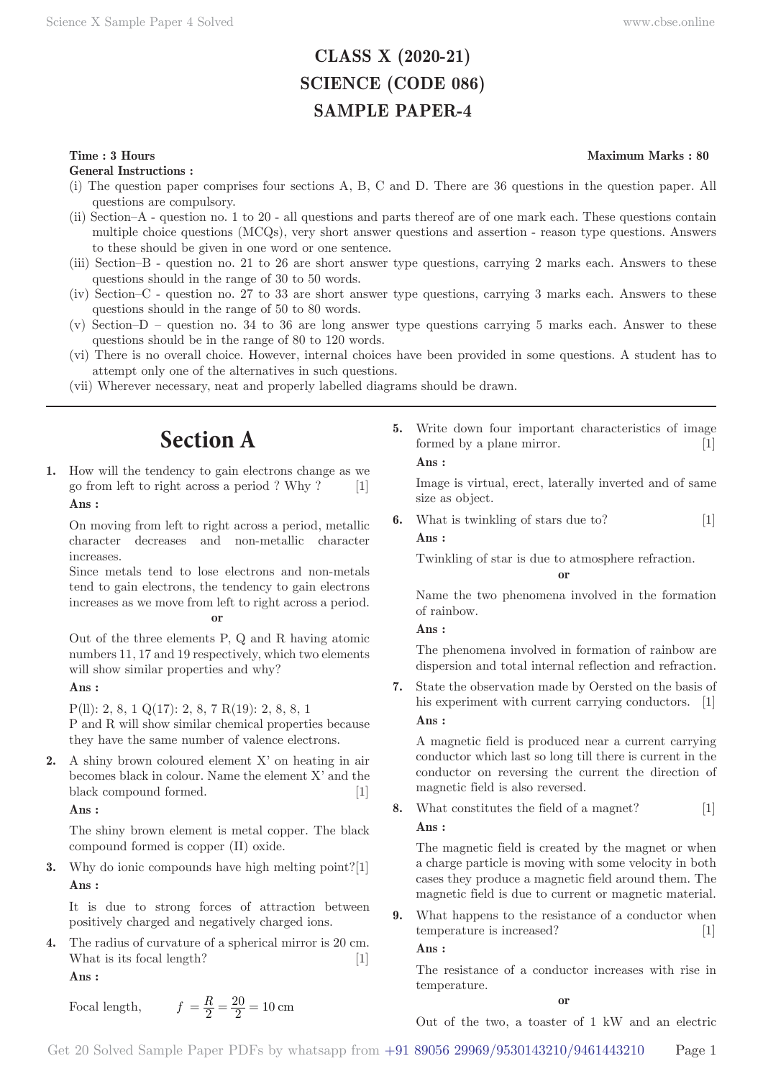### **CLASS X (2020-21) SCIENCE (CODE 086) SAMPLE PAPER-4**

### **Time : 3 Hours** Maximum Marks : 80

**General Instructions :**

- (i) The question paper comprises four sections A, B, C and D. There are 36 questions in the question paper. All questions are compulsory.
- (ii) Section–A question no. 1 to 20 all questions and parts thereof are of one mark each. These questions contain multiple choice questions (MCQs), very short answer questions and assertion - reason type questions. Answers to these should be given in one word or one sentence.
- (iii) Section–B question no. 21 to 26 are short answer type questions, carrying 2 marks each. Answers to these questions should in the range of 30 to 50 words.
- (iv) Section–C question no. 27 to 33 are short answer type questions, carrying 3 marks each. Answers to these questions should in the range of 50 to 80 words.
- (v) Section–D question no. 34 to 36 are long answer type questions carrying 5 marks each. Answer to these questions should be in the range of 80 to 120 words.
- (vi) There is no overall choice. However, internal choices have been provided in some questions. A student has to attempt only one of the alternatives in such questions.
- (vii) Wherever necessary, neat and properly labelled diagrams should be drawn.

# **Section A**

**1.** How will the tendency to gain electrons change as we go from left to right across a period ? Why ? [1] **Ans :** 

On moving from left to right across a period, metallic character decreases and non-metallic character increases.

Since metals tend to lose electrons and non-metals tend to gain electrons, the tendency to gain electrons increases as we move from left to right across a period.

#### **or**

Out of the three elements P, Q and R having atomic numbers 11, 17 and 19 respectively, which two elements will show similar properties and why?

#### **Ans :**

P(ll): 2, 8, 1 Q(17): 2, 8, 7 R(19): 2, 8, 8, 1 P and R will show similar chemical properties because they have the same number of valence electrons.

**2.** A shiny brown coloured element X' on heating in air becomes black in colour. Name the element X' and the black compound formed. [1]

#### **Ans :**

The shiny brown element is metal copper. The black compound formed is copper (II) oxide.

**3.** Why do ionic compounds have high melting point? [1] **Ans :** 

It is due to strong forces of attraction between positively charged and negatively charged ions.

**4.** The radius of curvature of a spherical mirror is 20 cm. What is its focal length? [1]

**Ans :** 

Focal length,  $f = \frac{R}{2} = \frac{20}{2} = 10 \text{ cm}$ 

**5.** Write down four important characteristics of image formed by a plane mirror. [1] **Ans :** 

Image is virtual, erect, laterally inverted and of same size as object.

**6.** What is twinkling of stars due to? [1] **Ans :** 

Twinkling of star is due to atmosphere refraction.

$$
\qquad \qquad \text{or} \qquad \qquad
$$

Name the two phenomena involved in the formation of rainbow.

**Ans :** 

The phenomena involved in formation of rainbow are dispersion and total internal reflection and refraction.

**7.** State the observation made by Oersted on the basis of his experiment with current carrying conductors. [1] **Ans :** 

A magnetic field is produced near a current carrying conductor which last so long till there is current in the conductor on reversing the current the direction of magnetic field is also reversed.

**8.** What constitutes the field of a magnet? [1] **Ans :** 

The magnetic field is created by the magnet or when a charge particle is moving with some velocity in both cases they produce a magnetic field around them. The magnetic field is due to current or magnetic material.

**9.** What happens to the resistance of a conductor when temperature is increased? [1]

**Ans :** 

The resistance of a conductor increases with rise in temperature.

**or**

Out of the two, a toaster of 1 kW and an electric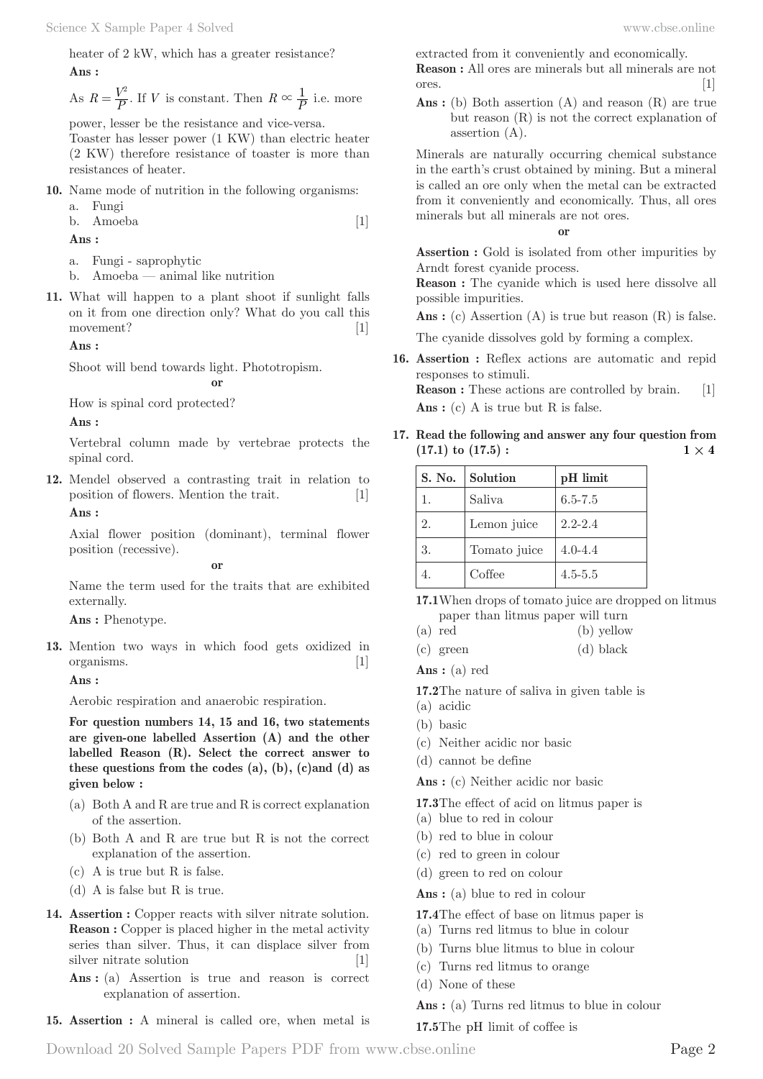heater of 2 kW, which has a greater resistance? **Ans :** 

As  $R = \frac{V^2}{P}$ . If *V* is constant. Then  $R \propto \frac{1}{P}$  i.e. more

power, lesser be the resistance and vice-versa. Toaster has lesser power (1 KW) than electric heater (2 KW) therefore resistance of toaster is more than resistances of heater.

- **10.** Name mode of nutrition in the following organisms:
	- a. Fungi

b. Amoeba  $[1]$ 

**Ans :** 

- a. Fungi saprophytic
- b. Amoeba animal like nutrition
- **11.** What will happen to a plant shoot if sunlight falls on it from one direction only? What do you call this movement? [1]

**Ans :** 

Shoot will bend towards light. Phototropism.

**or**

How is spinal cord protected?

**Ans :** 

Vertebral column made by vertebrae protects the spinal cord.

**12.** Mendel observed a contrasting trait in relation to position of flowers. Mention the trait. [1]

**Ans :** 

Axial flower position (dominant), terminal flower position (recessive).

**or**

Name the term used for the traits that are exhibited externally.

**Ans :** Phenotype.

**13.** Mention two ways in which food gets oxidized in organisms. [1]

**Ans :** 

Aerobic respiration and anaerobic respiration.

**For question numbers 14, 15 and 16, two statements are given-one labelled Assertion (A) and the other labelled Reason (R). Select the correct answer to these questions from the codes (a), (b), (c)and (d) as given below :**

- (a) Both A and R are true and R is correct explanation of the assertion.
- (b) Both A and R are true but R is not the correct explanation of the assertion.
- (c) A is true but R is false.
- (d) A is false but R is true.
- **14. Assertion :** Copper reacts with silver nitrate solution. **Reason :** Copper is placed higher in the metal activity series than silver. Thus, it can displace silver from silver nitrate solution [1]
	- Ans : (a) Assertion is true and reason is correct explanation of assertion.
- **15. Assertion :** A mineral is called ore, when metal is

extracted from it conveniently and economically. **Reason :** All ores are minerals but all minerals are not ores. [1]

Ans : (b) Both assertion (A) and reason (R) are true but reason (R) is not the correct explanation of assertion (A).

Minerals are naturally occurring chemical substance in the earth's crust obtained by mining. But a mineral is called an ore only when the metal can be extracted from it conveniently and economically. Thus, all ores minerals but all minerals are not ores.

**or**

**Assertion :** Gold is isolated from other impurities by Arndt forest cyanide process.

**Reason :** The cyanide which is used here dissolve all possible impurities.

Ans : (c) Assertion (A) is true but reason (R) is false.

The cyanide dissolves gold by forming a complex.

**16. Assertion :** Reflex actions are automatic and repid responses to stimuli. **Reason :** These actions are controlled by brain. [1]

Ans : (c) A is true but R is false.

**17. Read the following and answer any four question from**   $(17.1)$  to  $(17.5)$ :  $1 \times 4$ 

| S. No. | Solution     | pH limit    |
|--------|--------------|-------------|
|        | Saliva       | $6.5 - 7.5$ |
| 2.     | Lemon juice  | $2.2 - 2.4$ |
| 3.     | Tomato juice | $4.0 - 4.4$ |
|        | Coffee       | $4.5 - 5.5$ |

**17.1** When drops of tomato juice are dropped on litmus paper than litmus paper will turn

- (a) red (b) yellow
- (c) green (d) black

**Ans :** (a) red

**17.2** The nature of saliva in given table is

- (a) acidic
- (b) basic
- (c) Neither acidic nor basic
- (d) cannot be define

**Ans :** (c) Neither acidic nor basic

**17.3** The effect of acid on litmus paper is

- (a) blue to red in colour
- (b) red to blue in colour
- (c) red to green in colour
- (d) green to red on colour

**Ans :** (a) blue to red in colour

**17.4** The effect of base on litmus paper is

- (a) Turns red litmus to blue in colour
- (b) Turns blue litmus to blue in colour
- (c) Turns red litmus to orange
- (d) None of these

**Ans :** (a) Turns red litmus to blue in colour

**17.5** The pH limit of coffee is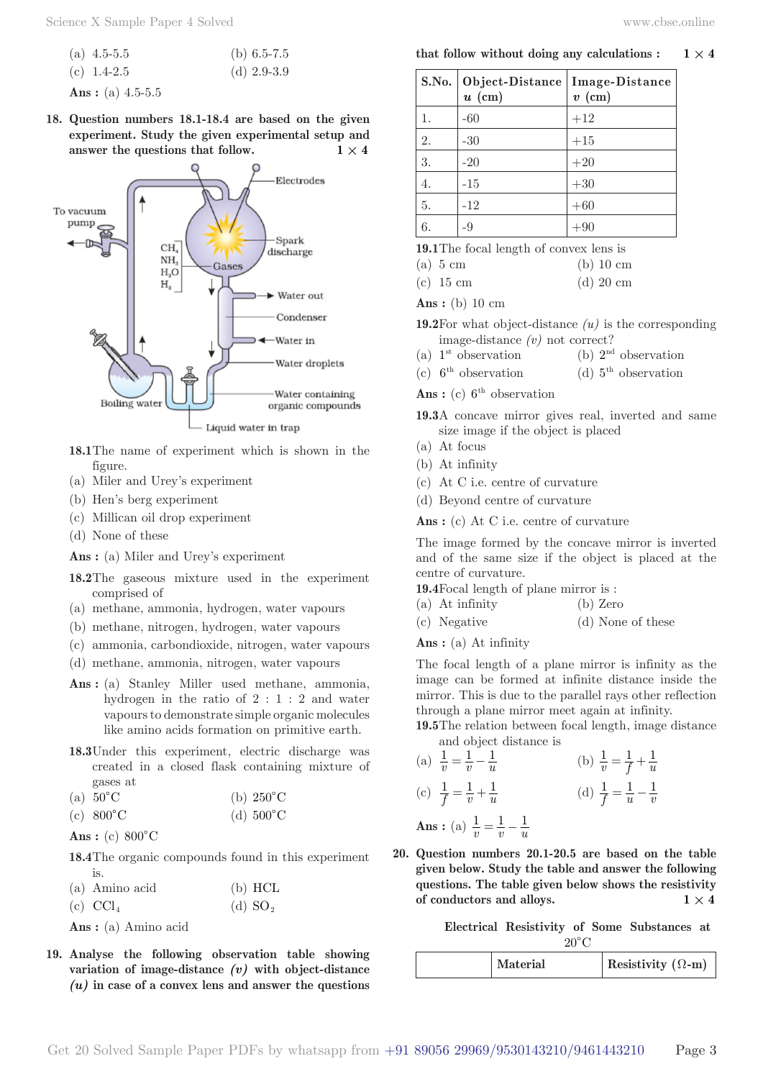| (a) $4.5-5.5$ | (b) $6.5-7.5$   |
|---------------|-----------------|
| (c) $1.4-2.5$ | (d) $2.9 - 3.9$ |
|               |                 |

- **Ans :** (a) 4.5-5.5
- **18. Question numbers 18.1-18.4 are based on the given experiment. Study the given experimental setup and answer the questions that follow.**  $1 \times 4$



- **18.1** The name of experiment which is shown in the figure.
- (a) Miler and Urey's experiment
- (b) Hen's berg experiment
- (c) Millican oil drop experiment
- (d) None of these
- **Ans :** (a) Miler and Urey's experiment
- **18.2** The gaseous mixture used in the experiment comprised of
- (a) methane, ammonia, hydrogen, water vapours
- (b) methane, nitrogen, hydrogen, water vapours
- (c) ammonia, carbondioxide, nitrogen, water vapours
- (d) methane, ammonia, nitrogen, water vapours
- Ans : (a) Stanley Miller used methane, ammonia, hydrogen in the ratio of 2 : 1 : 2 and water vapours to demonstrate simple organic molecules like amino acids formation on primitive earth.
- **18.3** Under this experiment, electric discharge was created in a closed flask containing mixture of gases at

| (a) $50^{\circ}$ C |  | (b) $250^{\circ}$ C |  |
|--------------------|--|---------------------|--|
|--------------------|--|---------------------|--|

- (c)  $800^{\circ}$ C (d)  $500^{\circ}$ C
- Ans:  $(c) 800^{\circ}$ C

**18.4** The organic compounds found in this experiment is.

|  | (a) Amino acid |  |  |  | $(b)$ HCL |
|--|----------------|--|--|--|-----------|
|--|----------------|--|--|--|-----------|

(c)  $\text{CCl}_4$  (d)  $\text{SO}_2$ 

**Ans :** (a) Amino acid

**19. Analyse the following observation table showing**  variation of image-distance  $(v)$  with object-distance  $(u)$  in case of a convex lens and answer the questions

**that follow without doing any calculations :**  $1 \times 4$ 

|    | S.No.   Object-Distance  <br>$u$ (cm) | Image-Distance<br>(c <sub>m</sub> )<br>$\boldsymbol{v}$ |
|----|---------------------------------------|---------------------------------------------------------|
| 1. | $-60$                                 | $+12$                                                   |
| 2. | $-30$                                 | $+15$                                                   |
| 3. | $-20$                                 | $+20$                                                   |
| 4. | $-15$                                 | $+30$                                                   |
| 5. | $-12$                                 | $+60$                                                   |
| 6. | -9                                    | $+90$                                                   |

**19.1** The focal length of convex lens is

(a) 5 cm (b) 10 cm

(c) 15 cm (d) 20 cm

**Ans :** (b) 10 cm

**19.2** For what object-distance  $(u)$  is the corresponding image-distance  $(v)$  not correct?

- (a)  $1^{\text{st}}$  observation (b)  $2^{\text{nd}}$  observation
- (c)  $6^{th}$  observation (d)  $5^{th}$  observation

**Ans** : (c)  $6^{th}$  observation

- **19.3** A concave mirror gives real, inverted and same size image if the object is placed
- (a) At focus
- (b) At infinity
- (c) At C i.e. centre of curvature
- (d) Beyond centre of curvature

Ans : (c) At C i.e. centre of curvature

The image formed by the concave mirror is inverted and of the same size if the object is placed at the centre of curvature.

**19.4** Focal length of plane mirror is :

- (a) At infinity (b) Zero
- (c) Negative (d) None of these

**Ans :** (a) At infinity

The focal length of a plane mirror is infinity as the image can be formed at infinite distance inside the mirror. This is due to the parallel rays other reflection through a plane mirror meet again at infinity.

**19.5** The relation between focal length, image distance and object distance is

| (a) $\frac{1}{v} = \frac{1}{v} - \frac{1}{u}$              | (b) $\frac{1}{v} = \frac{1}{f} + \frac{1}{u}$ |
|------------------------------------------------------------|-----------------------------------------------|
| (c) $\frac{1}{f} = \frac{1}{v} + \frac{1}{u}$              | (d) $\frac{1}{f} = \frac{1}{u} - \frac{1}{v}$ |
| <b>Ans</b> : (a) $\frac{1}{v} = \frac{1}{v} - \frac{1}{u}$ |                                               |

**20. Question numbers 20.1-20.5 are based on the table given below. Study the table and answer the following questions. The table given below shows the resistivity**  of conductors and alloys.  $1 \times 4$ 

> **Electrical Resistivity of Some Substances at**   $20^{\circ}$ C

| Material | Resistivity ( $\Omega$ -m) |
|----------|----------------------------|
|----------|----------------------------|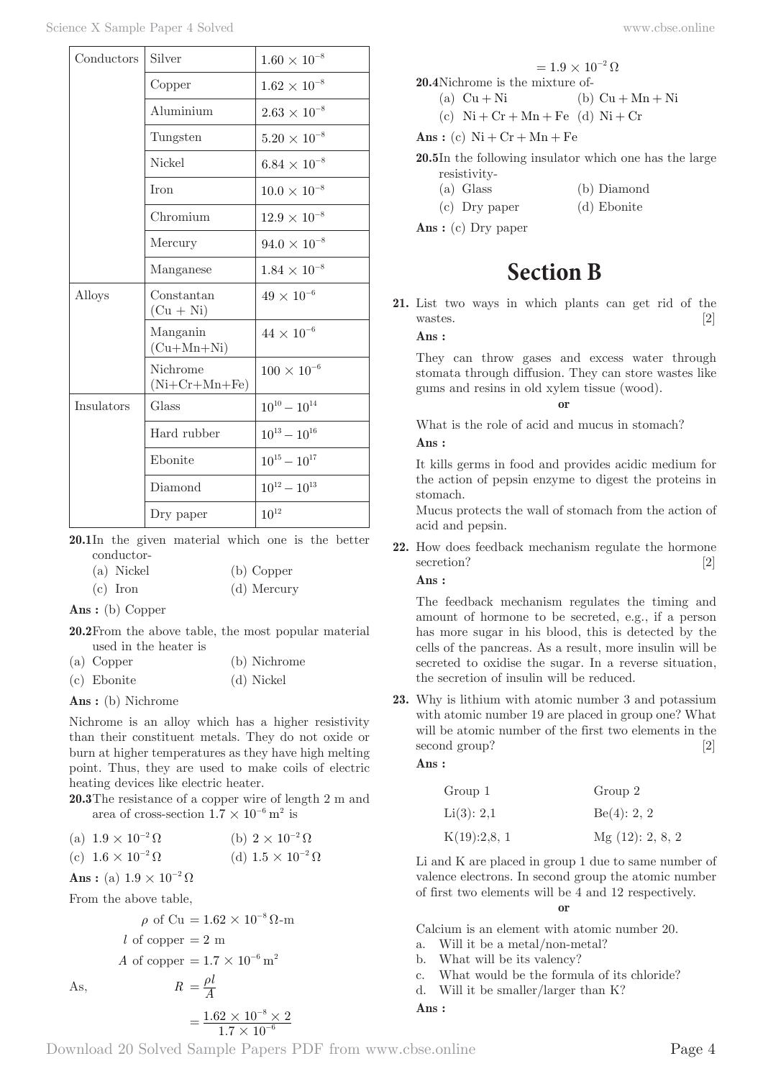| Conductors | Silver                      | $1.60 \times 10^{-8}$ |
|------------|-----------------------------|-----------------------|
|            | Copper                      | $1.62\times10^{-8}$   |
|            | Aluminium                   | $2.63 \times 10^{-8}$ |
|            | Tungsten                    | $5.20\times10^{-8}$   |
|            | <b>Nickel</b>               | $6.84\times10^{-8}$   |
|            | <b>Iron</b>                 | $10.0 \times 10^{-8}$ |
|            | Chromium                    | $12.9\times10^{-8}$   |
|            | Mercury                     | $94.0 \times 10^{-8}$ |
|            | Manganese                   | $1.84 \times 10^{-8}$ |
| Alloys     | Constantan<br>$(Cu + Ni)$   | $49\times10^{-6}$     |
|            | Manganin<br>$(Cu+Mn+Ni)$    | $44 \times 10^{-6}$   |
|            | Nichrome<br>$(Ni+Cr+Mn+Fe)$ | $100 \times 10^{-6}$  |
| Insulators | Glass                       | $10^{10} - 10^{14}$   |
|            | Hard rubber                 | $10^{13} - 10^{16}$   |
|            | Ebonite                     | $10^{15} - 10^{17}$   |
|            | Diamond                     | $10^{12} - 10^{13}$   |
|            | Dry paper                   | $10^{12}\,$           |

20.1In the given material which one is the better conductor-

| (a) Nickel | (b) Copper  |
|------------|-------------|
| $(c)$ Iron | (d) Mercury |

**Ans :** (b) Copper

**20.2** From the above table, the most popular material used in the heater is

| (a) Copper  | (b) Nichrome |
|-------------|--------------|
| (c) Ebonite | (d) Nickel   |

**Ans :** (b) Nichrome

Nichrome is an alloy which has a higher resistivity than their constituent metals. They do not oxide or burn at higher temperatures as they have high melting point. Thus, they are used to make coils of electric heating devices like electric heater.

**20.3** The resistance of a copper wire of length 2 m and area of cross-section  $1.7 \times 10^{-6}$  m<sup>2</sup> is

(a) 
$$
1.9 \times 10^{-2} \Omega
$$
 (b)  $2 \times 10^{-2} \Omega$ 

(c) 
$$
1.6 \times 10^{-2} \Omega
$$
 (d)  $1.5 \times 10^{-2} \Omega$ 

Ans : (a)  $1.9 \times 10^{-2} \Omega$ 

From the above table,

$$
\rho \text{ of Cu} = 1.62 \times 10^{-8} \Omega \text{-m}
$$
  
*l* of copper = 2 m  
*A* of copper =  $1.7 \times 10^{-6}$  m<sup>2</sup>

As,  

$$
R = \frac{\rho l}{A}
$$

$$
= \frac{1.62 \times 10^{-8} \times 2}{1.7 \times 10^{-6}}
$$

 $= 1.9 \times 10^{-2} \Omega$ **20.4** Nichrome is the mixture of-

(a)  $Cu + Ni$  (b)  $Cu + Mn + Ni$ 

(c)  $Ni + Cr + Mn + Fe$  (d)  $Ni + Cr$ 

 $\mathbf{Ans:}$  (c)  $\mathrm{Ni} + \mathrm{Cr} + \mathrm{Mn} + \mathrm{Fe}$ 

**20.5** In the following insulator which one has the large resistivity-

- (a) Glass (b) Diamond
- (c) Dry paper (d) Ebonite
- **Ans :** (c) Dry paper

### **Section B**

**21.** List two ways in which plants can get rid of the wastes. [2]

**Ans :** 

They can throw gases and excess water through stomata through diffusion. They can store wastes like gums and resins in old xylem tissue (wood).

**or**

What is the role of acid and mucus in stomach? **Ans :** 

It kills germs in food and provides acidic medium for the action of pepsin enzyme to digest the proteins in stomach.

Mucus protects the wall of stomach from the action of acid and pepsin.

**22.** How does feedback mechanism regulate the hormone secretion? [2]

**Ans :** 

The feedback mechanism regulates the timing and amount of hormone to be secreted, e.g., if a person has more sugar in his blood, this is detected by the cells of the pancreas. As a result, more insulin will be secreted to oxidise the sugar. In a reverse situation, the secretion of insulin will be reduced.

**23.** Why is lithium with atomic number 3 and potassium with atomic number 19 are placed in group one? What will be atomic number of the first two elements in the second group? [2]

**Ans :** 

| Group 1     | Group 2         |
|-------------|-----------------|
| Li(3): 2,1  | Be(4): 2, 2     |
| K(19):2,8,1 | Mg(12): 2, 8, 2 |

Li and K are placed in group 1 due to same number of valence electrons. In second group the atomic number of first two elements will be 4 and 12 respectively.

**or**

Calcium is an element with atomic number 20.

- a. Will it be a metal/non-metal?
- b. What will be its valency?
- c. What would be the formula of its chloride?
- d. Will it be smaller/larger than K?

**Ans :**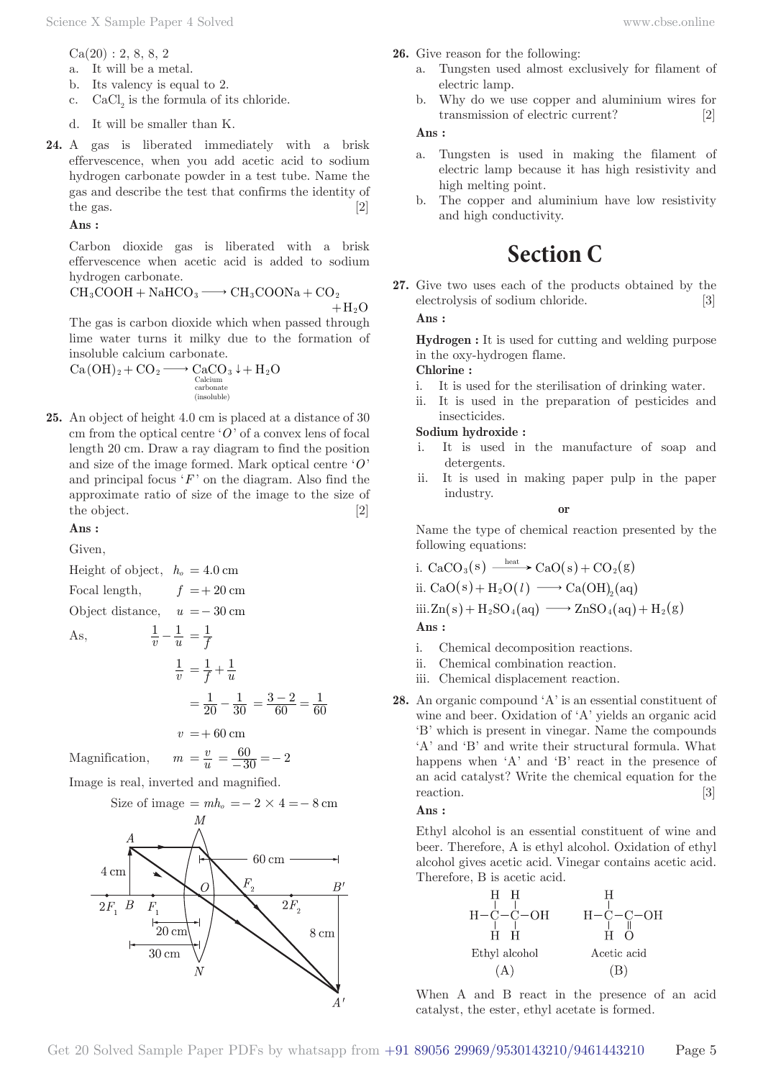$Ca(20): 2, 8, 8, 2$ 

- a. It will be a metal.
- b. Its valency is equal to 2.
- c.  $CaCl<sub>2</sub>$  is the formula of its chloride.
- d. It will be smaller than K.
- **24.** A gas is liberated immediately with a brisk effervescence, when you add acetic acid to sodium hydrogen carbonate powder in a test tube. Name the gas and describe the test that confirms the identity of the gas.  $[2]$

#### **Ans :**

Carbon dioxide gas is liberated with a brisk effervescence when acetic acid is added to sodium hydrogen carbonate.

$$
CH3COOH + NaHCO3 \longrightarrow CH3COONa + CO2 + H2O
$$

The gas is carbon dioxide which when passed through lime water turns it milky due to the formation of insoluble calcium carbonate.

$$
\mathrm{Ca(OH)_2+CO_2} \xrightarrow{\hspace*{1.5mm}} \mathrm{CaCO_3} \downarrow + \mathrm{H_2O} \atop \hspace*{2.5mm}\text{carbonate} \atop \hspace*{2.5mm} \text{(insoluble)} }
$$

**25.** An object of height 4.0 cm is placed at a distance of 30 cm from the optical centre '*O*' of a convex lens of focal length 20 cm. Draw a ray diagram to find the position and size of the image formed. Mark optical centre '*O*' and principal focus  $\langle F \rangle$  on the diagram. Also find the approximate ratio of size of the image to the size of the object. [2]

**Ans :** 

Given,

| Height of object, $h_0 = 4.0 \text{ cm}$ |                |   |                                           |
|------------------------------------------|----------------|---|-------------------------------------------|
| Focal length,                            |                |   | $f = +20$ cm                              |
| Object distance,                         |                |   | $u = -30$ cm                              |
| As,                                      | $\overline{v}$ | u | $\frac{1}{2} - \frac{1}{2} = \frac{1}{3}$ |

$$
\frac{1}{v} = \frac{1}{f} + \frac{1}{u}
$$

$$
= \frac{1}{20} - \frac{1}{30} = \frac{3 - 2}{60} = \frac{1}{60}
$$

$$
v = +60 \,\mathrm{cm}
$$

 $=\frac{v}{u}=\frac{60}{-30}=-2$ 

Magnification, *m*

Image is real, inverted and magnified.



- a. Tungsten used almost exclusively for filament of electric lamp.
- b. Why do we use copper and aluminium wires for transmission of electric current? [2]

#### **Ans :**

- a. Tungsten is used in making the filament of electric lamp because it has high resistivity and high melting point.
- b. The copper and aluminium have low resistivity and high conductivity.

# **Section C**

**27.** Give two uses each of the products obtained by the electrolysis of sodium chloride. [3]

**Ans :** 

**Hydrogen :** It is used for cutting and welding purpose in the oxy-hydrogen flame.

#### **Chlorine :**

- i. It is used for the sterilisation of drinking water.
- ii. It is used in the preparation of pesticides and insecticides.

#### **Sodium hydroxide :**

- i. It is used in the manufacture of soap and detergents.
- ii. It is used in making paper pulp in the paper industry.

**or**

Name the type of chemical reaction presented by the following equations:

i. 
$$
CaCO_3(s) \xrightarrow{\text{heat}} CaO(s) + CO_2(g)
$$
  
ii.  $CaO(s) + H_2O(l) \longrightarrow Ca(OH)_2(aq)$   
iii.  $Zn(s) + H_2SO_4(aq) \longrightarrow ZnSO_4(aq) + H_2(g)$   
Ans:

- i. Chemical decomposition reactions.
- ii. Chemical combination reaction.
- iii. Chemical displacement reaction.
- **28.** An organic compound 'A' is an essential constituent of wine and beer. Oxidation of 'A' yields an organic acid 'B' which is present in vinegar. Name the compounds 'A' and 'B' and write their structural formula. What happens when 'A' and 'B' react in the presence of an acid catalyst? Write the chemical equation for the reaction. [3]

#### **Ans :**

Ethyl alcohol is an essential constituent of wine and beer. Therefore, A is ethyl alcohol. Oxidation of ethyl alcohol gives acetic acid. Vinegar contains acetic acid. Therefore, B is acetic acid.



When A and B react in the presence of an acid catalyst, the ester, ethyl acetate is formed.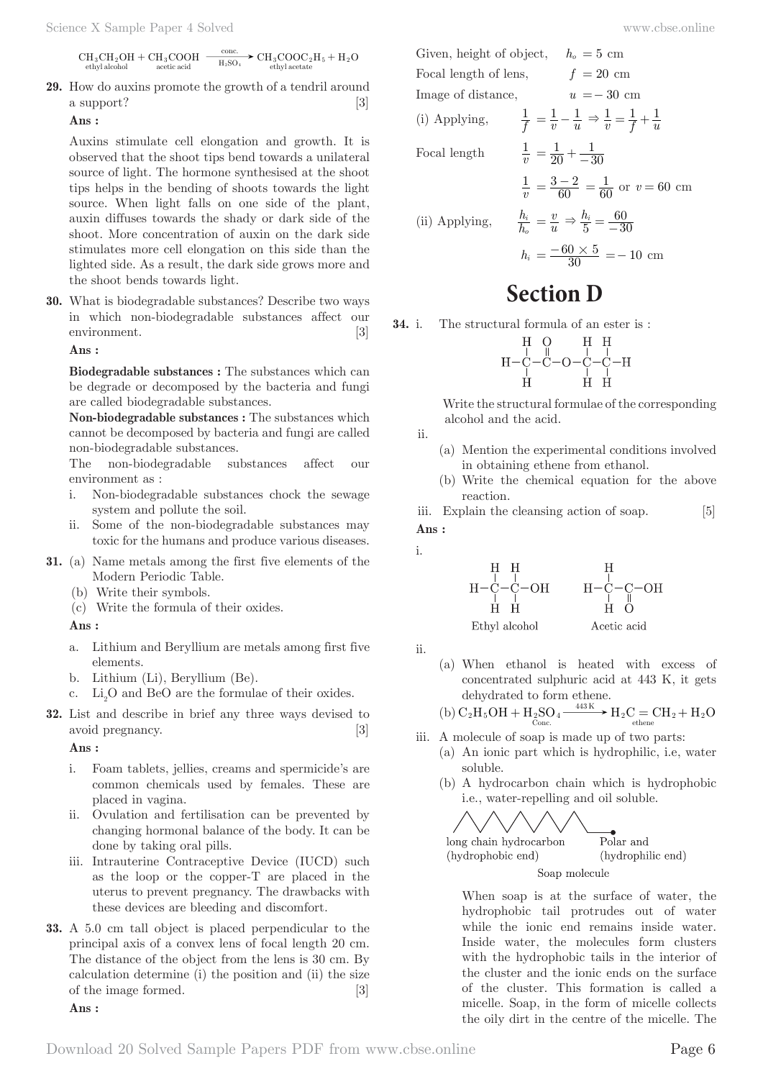$$
\displaystyle \operatorname{CH_3CH_2OH} + \operatorname{CH_3COOH} \xrightarrow[\text{active acid}]{\text{conc.}} \displaystyle \operatorname{CH_3COOC_2H_5} + \operatorname{H_2O} \\
$$

**29.** How do auxins promote the growth of a tendril around a support? [3]

**Ans :** 

Auxins stimulate cell elongation and growth. It is observed that the shoot tips bend towards a unilateral source of light. The hormone synthesised at the shoot tips helps in the bending of shoots towards the light source. When light falls on one side of the plant, auxin diffuses towards the shady or dark side of the shoot. More concentration of auxin on the dark side stimulates more cell elongation on this side than the lighted side. As a result, the dark side grows more and the shoot bends towards light.

**30.** What is biodegradable substances? Describe two ways in which non-biodegradable substances affect our environment. [3]

#### **Ans :**

**Biodegradable substances :** The substances which can be degrade or decomposed by the bacteria and fungi are called biodegradable substances.

**Non-biodegradable substances :** The substances which cannot be decomposed by bacteria and fungi are called non-biodegradable substances.

The non-biodegradable substances affect our environment as :

- i. Non-biodegradable substances chock the sewage system and pollute the soil.
- ii. Some of the non-biodegradable substances may toxic for the humans and produce various diseases.
- **31.** (a) Name metals among the first five elements of the Modern Periodic Table.
	- (b) Write their symbols.
	- (c) Write the formula of their oxides.

**Ans :** 

- a. Lithium and Beryllium are metals among first five elements.
- b. Lithium (Li), Beryllium (Be).
- c.  $Li<sub>2</sub>O$  and BeO are the formulae of their oxides.
- **32.** List and describe in brief any three ways devised to avoid pregnancy. [3]

**Ans :** 

- i. Foam tablets, jellies, creams and spermicide's are common chemicals used by females. These are placed in vagina.
- ii. Ovulation and fertilisation can be prevented by changing hormonal balance of the body. It can be done by taking oral pills.
- iii. Intrauterine Contraceptive Device (IUCD) such as the loop or the copper-T are placed in the uterus to prevent pregnancy. The drawbacks with these devices are bleeding and discomfort.
- **33.** A 5.0 cm tall object is placed perpendicular to the principal axis of a convex lens of focal length 20 cm. The distance of the object from the lens is 30 cm. By calculation determine (i) the position and (ii) the size of the image formed. [3] **Ans :**

Given, height of object, 
$$
h_o = 5
$$
 cm  
\nFocal length of lens,  $f = 20$  cm  
\nImage of distance,  $u = -30$  cm  
\n(i) Applying,  $\frac{1}{f} = \frac{1}{v} - \frac{1}{u} \Rightarrow \frac{1}{v} = \frac{1}{f} + \frac{1}{u}$   
\nFocal length  $\frac{1}{v} = \frac{1}{20} + \frac{1}{-30}$   
\n $\frac{1}{v} = \frac{3-2}{60} = \frac{1}{60}$  or  $v = 60$  cm

(ii) Applying, 
$$
\frac{h_i}{h_o} = \frac{v}{u} \Rightarrow \frac{h_i}{5} = \frac{60}{-30}
$$
  
 $h_i = \frac{-60 \times 5}{30} = -10$  cm

# **Section D**

**34.** i. The structural formula of an ester is :

 Write the structural formulae of the corresponding alcohol and the acid.

ii.

- (a) Mention the experimental conditions involved in obtaining ethene from ethanol.
- (b) Write the chemical equation for the above reaction.

iii. Explain the cleansing action of soap. [5] **Ans :** 

$$
\rm i.
$$

 $\begin{array}{cccc}\n\text{H} & \text{H} & \text{H} \\
\downarrow & \downarrow & \text{H} \\
\text{H} - \text{C} - \text{C} - \text{OH} & \text{H} - \text{C} - \text{C} - \text{OH} \\
\downarrow & \downarrow & \text{H} \\
\text{H} & \text{H} & \text{H} - \text{C} - \text{OH} \\
\end{array}$ Ethyl alcohol Acetic acid

ii.

(a) When ethanol is heated with excess of concentrated sulphuric acid at 443 K, it gets dehydrated to form ethene.

$$
\mathrm{(b)}\,C_{2}H_{5}OH+H_{2}SO_{4} \xrightarrow[{\text{Cone.}}]{\text{443\,K}} H_{2}C=CH_{2}+H_{2}O
$$

- iii. A molecule of soap is made up of two parts:
	- (a) An ionic part which is hydrophilic, i.e, water soluble.
	- (b) A hydrocarbon chain which is hydrophobic i.e., water-repelling and oil soluble.



 When soap is at the surface of water, the hydrophobic tail protrudes out of water while the ionic end remains inside water. Inside water, the molecules form clusters with the hydrophobic tails in the interior of the cluster and the ionic ends on the surface of the cluster. This formation is called a micelle. Soap, in the form of micelle collects the oily dirt in the centre of the micelle. The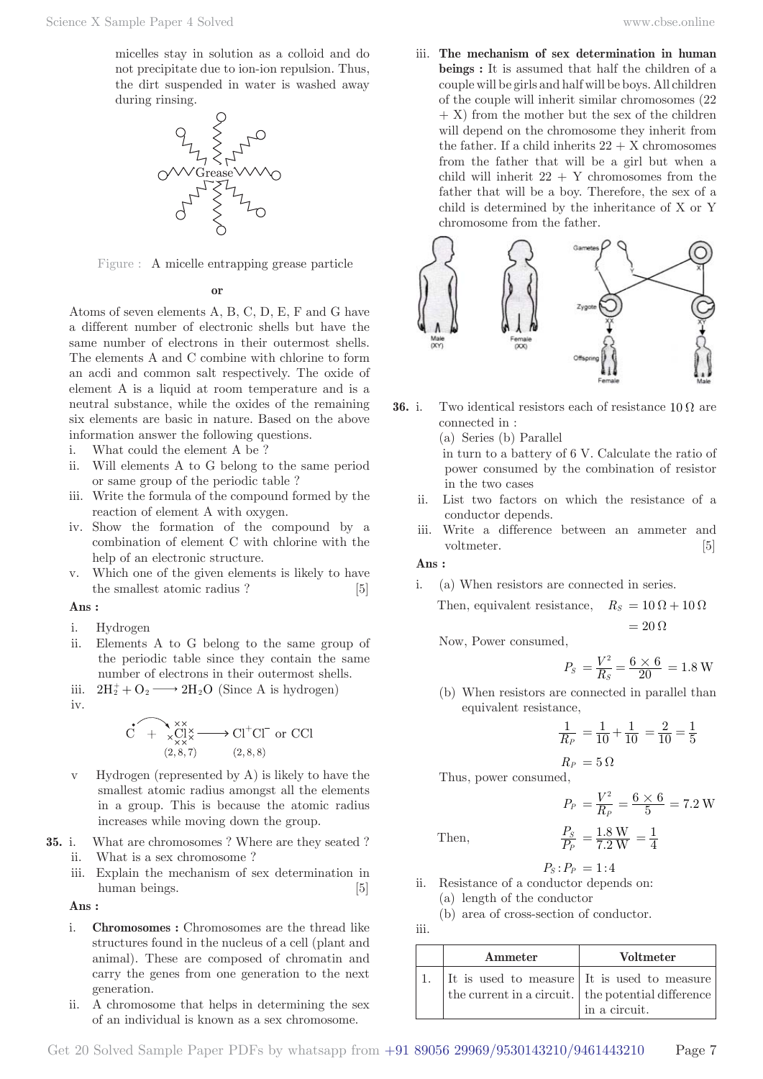micelles stay in solution as a colloid and do not precipitate due to ion-ion repulsion. Thus, the dirt suspended in water is washed away



Figure : A micelle entrapping grease particle

**or**

Atoms of seven elements A, B, C, D, E, F and G have a different number of electronic shells but have the same number of electrons in their outermost shells. The elements A and C combine with chlorine to form an acdi and common salt respectively. The oxide of element A is a liquid at room temperature and is a neutral substance, while the oxides of the remaining six elements are basic in nature. Based on the above information answer the following questions.

- i. What could the element A be ?
- ii. Will elements A to G belong to the same period or same group of the periodic table ?
- iii. Write the formula of the compound formed by the reaction of element A with oxygen.
- iv. Show the formation of the compound by a combination of element C with chlorine with the help of an electronic structure.
- v. Which one of the given elements is likely to have the smallest atomic radius ? [5]

#### **Ans :**

- i. Hydrogen
- ii. Elements A to G belong to the same group of the periodic table since they contain the same number of electrons in their outermost shells.
- iii.  $2H_2^+ + O_2 \longrightarrow 2H_2O$  (Since A is hydrogen)
- iv.

$$
C \longrightarrow \underset{(2,8,7)}{\underset{\times}{\times \times}} C1 \times \longrightarrow C1^+ C1^- \text{ or } CCl
$$
  

$$
\longrightarrow (2,8,8)
$$

- v Hydrogen (represented by A) is likely to have the smallest atomic radius amongst all the elements in a group. This is because the atomic radius increases while moving down the group.
- **35.** i. What are chromosomes ? Where are they seated ?
	- ii. What is a sex chromosome ?
	- iii. Explain the mechanism of sex determination in human beings. [5]

**Ans :** 

- i. **Chromosomes :** Chromosomes are the thread like structures found in the nucleus of a cell (plant and animal). These are composed of chromatin and carry the genes from one generation to the next generation.
- ii. A chromosome that helps in determining the sex of an individual is known as a sex chromosome.

iii. **The mechanism of sex determination in human beings :** It is assumed that half the children of a couple will be girls and half will be boys. All children of the couple will inherit similar chromosomes (22  $+ X$ ) from the mother but the sex of the children will depend on the chromosome they inherit from the father. If a child inherits  $22 + X$  chromosomes from the father that will be a girl but when a child will inherit  $22 + Y$  chromosomes from the father that will be a boy. Therefore, the sex of a child is determined by the inheritance of X or Y chromosome from the father.



**36. i.** Two identical resistors each of resistance  $10 \Omega$  are connected in :

(a) Series (b) Parallel

 in turn to a battery of 6 V. Calculate the ratio of power consumed by the combination of resistor in the two cases

- ii. List two factors on which the resistance of a conductor depends.
- iii. Write a difference between an ammeter and voltmeter. [5]

#### **Ans :**

i. (a) When resistors are connected in series.

Then, equivalent resistance, 
$$
R_s = 10 \Omega + 10 \Omega
$$

Now, Power consumed,

$$
P_S = \frac{V^2}{R_S} = \frac{6 \times 6}{20} = 1.8 \text{ W}
$$

 $= 20 \Omega$ 

(b) When resistors are connected in parallel than equivalent resistance,

$$
\frac{1}{R_P} = \frac{1}{10} + \frac{1}{10} = \frac{2}{10} = \frac{1}{5}
$$

 $R_P = 5 \Omega$ Thus, power consumed,

$$
P_P = \frac{V^2}{R_P} = \frac{6 \times 6}{5} = 7.2 \text{ W}
$$

$$
\frac{P_S}{P_P} = \frac{1.8 \text{ W}}{7.2 \text{ W}} = \frac{1}{4}
$$

Then.

$$
P_S \colon P_P \ = 1 \colon\! 4
$$

- ii. Resistance of a conductor depends on: (a) length of the conductor
	- (b) area of cross-section of conductor.

iii.

| Ammeter | <b>Voltmeter</b>                                                                                                    |
|---------|---------------------------------------------------------------------------------------------------------------------|
|         | It is used to measure It is used to measure<br>the current in a circuit. Ithe potential difference<br>in a circuit. |